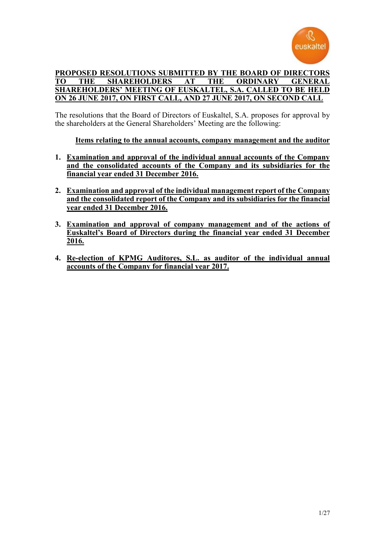

### **PROPOSED RESOLUTIONS SUBMITTED BY THE BOARD OF DIRECTORS TO THE SHAREHOLDERS AT THE ORDINARY SHAREHOLDERS' MEETING OF EUSKALTEL, S.A. CALLED TO BE HELD ON 26 JUNE 2017, ON FIRST CALL, AND 27 JUNE 2017, ON SECOND CALL**

The resolutions that the Board of Directors of Euskaltel, S.A. proposes for approval by the shareholders at the General Shareholders' Meeting are the following:

**Items relating to the annual accounts, company management and the auditor**

- **1. Examination and approval of the individual annual accounts of the Company and the consolidated accounts of the Company and its subsidiaries for the financial year ended 31 December 2016.**
- **2. Examination and approval of the individual management report of the Company and the consolidated report of the Company and its subsidiaries for the financial year ended 31 December 2016.**
- **3. Examination and approval of company management and of the actions of Euskaltel's Board of Directors during the financial year ended 31 December 2016.**
- **4. Re-election of KPMG Auditores, S.L. as auditor of the individual annual accounts of the Company for financial year 2017.**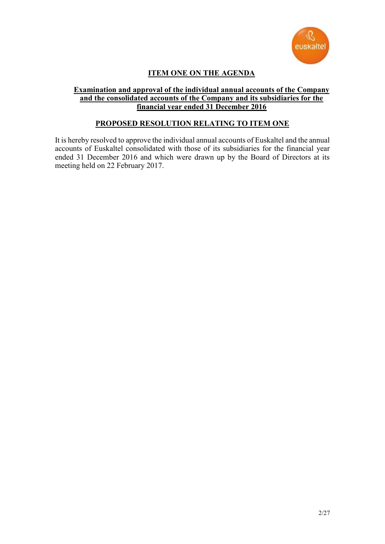

# **ITEM ONE ON THE AGENDA**

### **Examination and approval of the individual annual accounts of the Company and the consolidated accounts of the Company and its subsidiaries for the financial year ended 31 December 2016**

### **PROPOSED RESOLUTION RELATING TO ITEM ONE**

It is hereby resolved to approve the individual annual accounts of Euskaltel and the annual accounts of Euskaltel consolidated with those of its subsidiaries for the financial year ended 31 December 2016 and which were drawn up by the Board of Directors at its meeting held on 22 February 2017.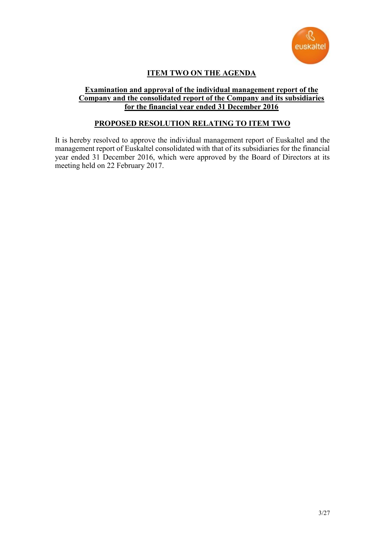

# **ITEM TWO ON THE AGENDA**

#### **Examination and approval of the individual management report of the Company and the consolidated report of the Company and its subsidiaries for the financial year ended 31 December 2016**

## **PROPOSED RESOLUTION RELATING TO ITEM TWO**

It is hereby resolved to approve the individual management report of Euskaltel and the management report of Euskaltel consolidated with that of its subsidiaries for the financial year ended 31 December 2016, which were approved by the Board of Directors at its meeting held on 22 February 2017.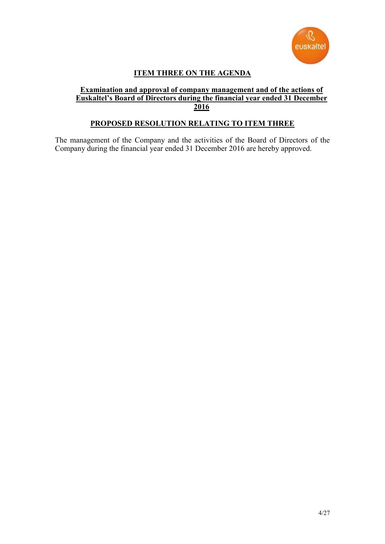

# **ITEM THREE ON THE AGENDA**

#### **Examination and approval of company management and of the actions of Euskaltel's Board of Directors during the financial year ended 31 December 2016**

## **PROPOSED RESOLUTION RELATING TO ITEM THREE**

The management of the Company and the activities of the Board of Directors of the Company during the financial year ended 31 December 2016 are hereby approved.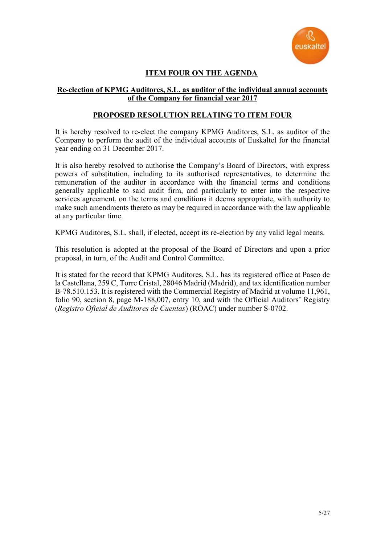

# **ITEM FOUR ON THE AGENDA**

### **Re-election of KPMG Auditores, S.L. as auditor of the individual annual accounts of the Company for financial year 2017**

### **PROPOSED RESOLUTION RELATING TO ITEM FOUR**

It is hereby resolved to re-elect the company KPMG Auditores, S.L. as auditor of the Company to perform the audit of the individual accounts of Euskaltel for the financial year ending on 31 December 2017.

It is also hereby resolved to authorise the Company's Board of Directors, with express powers of substitution, including to its authorised representatives, to determine the remuneration of the auditor in accordance with the financial terms and conditions generally applicable to said audit firm, and particularly to enter into the respective services agreement, on the terms and conditions it deems appropriate, with authority to make such amendments thereto as may be required in accordance with the law applicable at any particular time.

KPMG Auditores, S.L. shall, if elected, accept its re-election by any valid legal means.

This resolution is adopted at the proposal of the Board of Directors and upon a prior proposal, in turn, of the Audit and Control Committee.

It is stated for the record that KPMG Auditores, S.L. has its registered office at Paseo de la Castellana, 259 C, Torre Cristal, 28046 Madrid (Madrid), and tax identification number B-78.510.153. It is registered with the Commercial Registry of Madrid at volume 11,961, folio 90, section 8, page M-188,007, entry 10, and with the Official Auditors' Registry (*Registro Oficial de Auditores de Cuentas*) (ROAC) under number S-0702.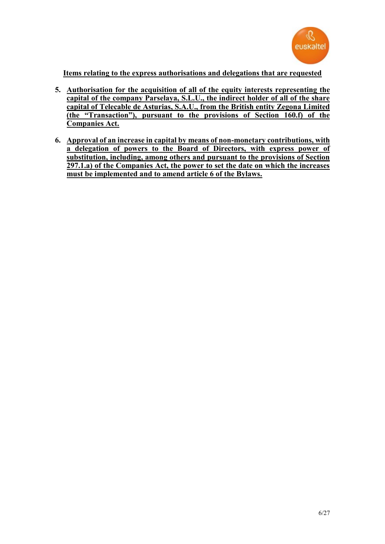

**Items relating to the express authorisations and delegations that are requested**

- **5. Authorisation for the acquisition of all of the equity interests representing the capital of the company Parselaya, S.L.U., the indirect holder of all of the share capital of Telecable de Asturias, S.A.U., from the British entity Zegona Limited (the "Transaction"), pursuant to the provisions of Section 160.f) of the Companies Act.**
- **6. Approval of an increase in capital by means of non-monetary contributions, with a delegation of powers to the Board of Directors, with express power of substitution, including, among others and pursuant to the provisions of Section 297.1.a) of the Companies Act, the power to set the date on which the increases must be implemented and to amend article 6 of the Bylaws.**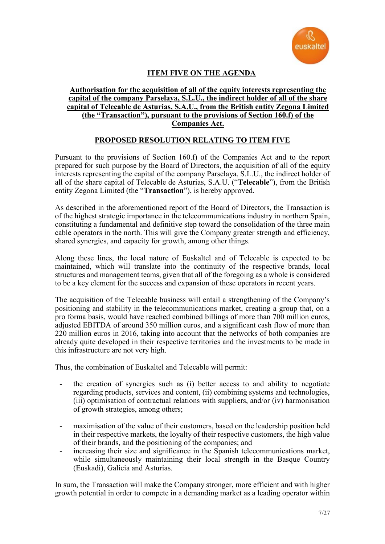

# **ITEM FIVE ON THE AGENDA**

#### **Authorisation for the acquisition of all of the equity interests representing the capital of the company Parselaya, S.L.U., the indirect holder of all of the share capital of Telecable de Asturias, S.A.U., from the British entity Zegona Limited (the "Transaction"), pursuant to the provisions of Section 160.f) of the Companies Act.**

### **PROPOSED RESOLUTION RELATING TO ITEM FIVE**

Pursuant to the provisions of Section 160.f) of the Companies Act and to the report prepared for such purpose by the Board of Directors, the acquisition of all of the equity interests representing the capital of the company Parselaya, S.L.U., the indirect holder of all of the share capital of Telecable de Asturias, S.A.U. ("**Telecable**"), from the British entity Zegona Limited (the "**Transaction**"), is hereby approved.

As described in the aforementioned report of the Board of Directors, the Transaction is of the highest strategic importance in the telecommunications industry in northern Spain, constituting a fundamental and definitive step toward the consolidation of the three main cable operators in the north. This will give the Company greater strength and efficiency, shared synergies, and capacity for growth, among other things.

Along these lines, the local nature of Euskaltel and of Telecable is expected to be maintained, which will translate into the continuity of the respective brands, local structures and management teams, given that all of the foregoing as a whole is considered to be a key element for the success and expansion of these operators in recent years.

The acquisition of the Telecable business will entail a strengthening of the Company's positioning and stability in the telecommunications market, creating a group that, on a pro forma basis, would have reached combined billings of more than 700 million euros, adjusted EBITDA of around 350 million euros, and a significant cash flow of more than 220 million euros in 2016, taking into account that the networks of both companies are already quite developed in their respective territories and the investments to be made in this infrastructure are not very high.

Thus, the combination of Euskaltel and Telecable will permit:

- the creation of synergies such as (i) better access to and ability to negotiate regarding products, services and content, (ii) combining systems and technologies, (iii) optimisation of contractual relations with suppliers, and/or (iv) harmonisation of growth strategies, among others;
- maximisation of the value of their customers, based on the leadership position held in their respective markets, the loyalty of their respective customers, the high value of their brands, and the positioning of the companies; and
- increasing their size and significance in the Spanish telecommunications market, while simultaneously maintaining their local strength in the Basque Country (Euskadi), Galicia and Asturias.

In sum, the Transaction will make the Company stronger, more efficient and with higher growth potential in order to compete in a demanding market as a leading operator within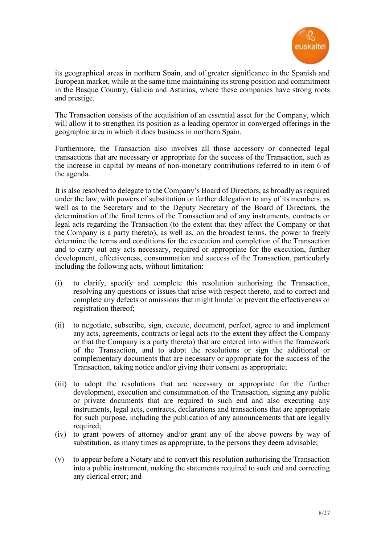

its geographical areas in northern Spain, and of greater significance in the Spanish and European market, while at the same time maintaining its strong position and commitment in the Basque Country, Galicia and Asturias, where these companies have strong roots and prestige.

The Transaction consists of the acquisition of an essential asset for the Company, which will allow it to strengthen its position as a leading operator in converged offerings in the geographic area in which it does business in northern Spain.

Furthermore, the Transaction also involves all those accessory or connected legal transactions that are necessary or appropriate for the success of the Transaction, such as the increase in capital by means of non-monetary contributions referred to in item 6 of the agenda.

It is also resolved to delegate to the Company's Board of Directors, as broadly as required under the law, with powers of substitution or further delegation to any of its members, as well as to the Secretary and to the Deputy Secretary of the Board of Directors, the determination of the final terms of the Transaction and of any instruments, contracts or legal acts regarding the Transaction (to the extent that they affect the Company or that the Company is a party thereto), as well as, on the broadest terms, the power to freely determine the terms and conditions for the execution and completion of the Transaction and to carry out any acts necessary, required or appropriate for the execution, further development, effectiveness, consummation and success of the Transaction, particularly including the following acts, without limitation:

- (i) to clarify, specify and complete this resolution authorising the Transaction, resolving any questions or issues that arise with respect thereto, and to correct and complete any defects or omissions that might hinder or prevent the effectiveness or registration thereof;
- (ii) to negotiate, subscribe, sign, execute, document, perfect, agree to and implement any acts, agreements, contracts or legal acts (to the extent they affect the Company or that the Company is a party thereto) that are entered into within the framework of the Transaction, and to adopt the resolutions or sign the additional or complementary documents that are necessary or appropriate for the success of the Transaction, taking notice and/or giving their consent as appropriate;
- (iii) to adopt the resolutions that are necessary or appropriate for the further development, execution and consummation of the Transaction, signing any public or private documents that are required to such end and also executing any instruments, legal acts, contracts, declarations and transactions that are appropriate for such purpose, including the publication of any announcements that are legally required:
- (iv) to grant powers of attorney and/or grant any of the above powers by way of substitution, as many times as appropriate, to the persons they deem advisable;
- (v) to appear before a Notary and to convert this resolution authorising the Transaction into a public instrument, making the statements required to such end and correcting any clerical error; and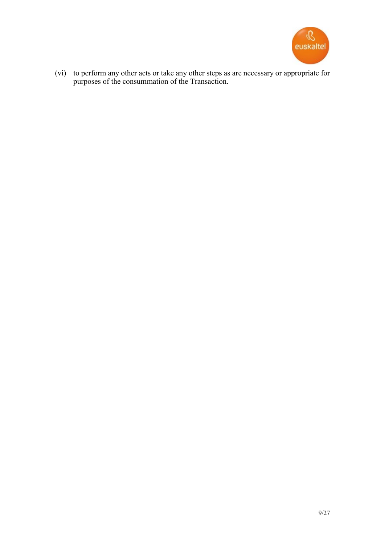

(vi) to perform any other acts or take any other steps as are necessary or appropriate for purposes of the consummation of the Transaction.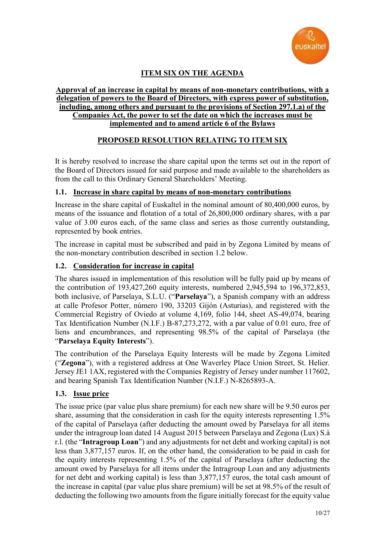

# **ITEM SIX ON THE AGENDA**

#### **Approval of an increase in capital by means of non-monetary contributions, with a delegation of powers to the Board of Directors, with express power of substitution, including, among others and pursuant to the provisions of Section 297.1.a) of the Companies Act, the power to set the date on which the increases must be implemented and to amend article 6 of the Bylaws**

## **PROPOSED RESOLUTION RELATING TO ITEM SIX**

It is hereby resolved to increase the share capital upon the terms set out in the report of the Board of Directors issued for said purpose and made available to the shareholders as from the call to this Ordinary General Shareholders' Meeting.

## **1.1. Increase in share capital by means of non-monetary contributions**

Increase in the share capital of Euskaltel in the nominal amount of 80,400,000 euros, by means of the issuance and flotation of a total of 26,800,000 ordinary shares, with a par value of 3.00 euros each, of the same class and series as those currently outstanding, represented by book entries.

The increase in capital must be subscribed and paid in by Zegona Limited by means of the non-monetary contribution described in section [1.2](#page-9-0) below.

### <span id="page-9-0"></span>**1.2. Consideration for increase in capital**

The shares issued in implementation of this resolution will be fully paid up by means of the contribution of 193,427,260 equity interests, numbered 2,945,594 to 196,372,853, both inclusive, of Parselaya, S.L.U. ("**Parselaya**"), a Spanish company with an address at calle Profesor Potter, número 190, 33203 Gijón (Asturias), and registered with the Commercial Registry of Oviedo at volume 4,169, folio 144, sheet AS-49,074, bearing Tax Identification Number (N.I.F.) B-87,273,272, with a par value of 0.01 euro, free of liens and encumbrances, and representing 98.5% of the capital of Parselaya (the "**Parselaya Equity Interests**").

The contribution of the Parselaya Equity Interests will be made by Zegona Limited ("**Zegona**"), with a registered address at One Waverley Place Union Street, St. Helier. Jersey JE1 1AX, registered with the Companies Registry of Jersey under number 117602, and bearing Spanish Tax Identification Number (N.I.F.) N-8265893-A.

#### <span id="page-9-1"></span>**1.3. Issue price**

The issue price (par value plus share premium) for each new share will be 9.50 euros per share, assuming that the consideration in cash for the equity interests representing 1.5% of the capital of Parselaya (after deducting the amount owed by Parselaya for all items under the intragroup loan dated 14 August 2015 between Parselaya and Zegona (Lux) S.à r.l. (the "**Intragroup Loan**") and any adjustments for net debt and working capital) is not less than 3,877,157 euros. If, on the other hand, the consideration to be paid in cash for the equity interests representing 1.5% of the capital of Parselaya (after deducting the amount owed by Parselaya for all items under the Intragroup Loan and any adjustments for net debt and working capital) is less than 3,877,157 euros, the total cash amount of the increase in capital (par value plus share premium) will be set at 98.5% of the result of deducting the following two amounts from the figure initially forecast for the equity value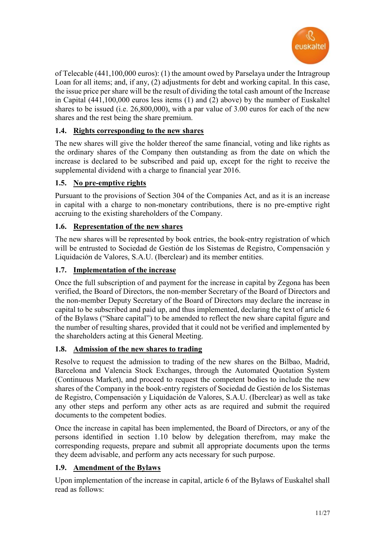

of Telecable (441,100,000 euros): (1) the amount owed by Parselaya under the Intragroup Loan for all items; and, if any, (2) adjustments for debt and working capital. In this case, the issue price per share will be the result of dividing the total cash amount of the Increase in Capital (441,100,000 euros less items (1) and (2) above) by the number of Euskaltel shares to be issued (i.e. 26,800,000), with a par value of 3.00 euros for each of the new shares and the rest being the share premium.

# **1.4. Rights corresponding to the new shares**

The new shares will give the holder thereof the same financial, voting and like rights as the ordinary shares of the Company then outstanding as from the date on which the increase is declared to be subscribed and paid up, except for the right to receive the supplemental dividend with a charge to financial year 2016.

# **1.5. No pre-emptive rights**

Pursuant to the provisions of Section 304 of the Companies Act, and as it is an increase in capital with a charge to non-monetary contributions, there is no pre-emptive right accruing to the existing shareholders of the Company.

## **1.6. Representation of the new shares**

The new shares will be represented by book entries, the book-entry registration of which will be entrusted to Sociedad de Gestión de los Sistemas de Registro, Compensación y Liquidación de Valores, S.A.U. (Iberclear) and its member entities.

## **1.7. Implementation of the increase**

Once the full subscription of and payment for the increase in capital by Zegona has been verified, the Board of Directors, the non-member Secretary of the Board of Directors and the non-member Deputy Secretary of the Board of Directors may declare the increase in capital to be subscribed and paid up, and thus implemented, declaring the text of article 6 of the Bylaws ("Share capital") to be amended to reflect the new share capital figure and the number of resulting shares, provided that it could not be verified and implemented by the shareholders acting at this General Meeting.

## **1.8. Admission of the new shares to trading**

Resolve to request the admission to trading of the new shares on the Bilbao, Madrid, Barcelona and Valencia Stock Exchanges, through the Automated Quotation System (Continuous Market), and proceed to request the competent bodies to include the new shares of the Company in the book-entry registers of Sociedad de Gestión de los Sistemas de Registro, Compensación y Liquidación de Valores, S.A.U. (Iberclear) as well as take any other steps and perform any other acts as are required and submit the required documents to the competent bodies.

Once the increase in capital has been implemented, the Board of Directors, or any of the persons identified in section [1.10](#page-11-0) below by delegation therefrom, may make the corresponding requests, prepare and submit all appropriate documents upon the terms they deem advisable, and perform any acts necessary for such purpose.

# **1.9. Amendment of the Bylaws**

Upon implementation of the increase in capital, article 6 of the Bylaws of Euskaltel shall read as follows: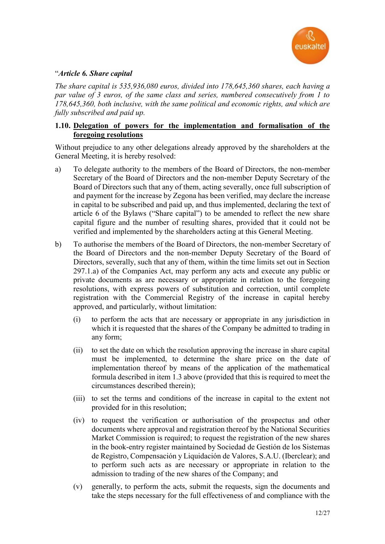

### "*Article 6. Share capital*

*The share capital is 535,936,080 euros, divided into 178,645,360 shares, each having a par value of 3 euros, of the same class and series, numbered consecutively from 1 to 178,645,360, both inclusive, with the same political and economic rights, and which are fully subscribed and paid up.*

### <span id="page-11-0"></span>**1.10. Delegation of powers for the implementation and formalisation of the foregoing resolutions**

Without prejudice to any other delegations already approved by the shareholders at the General Meeting, it is hereby resolved:

- a) To delegate authority to the members of the Board of Directors, the non-member Secretary of the Board of Directors and the non-member Deputy Secretary of the Board of Directors such that any of them, acting severally, once full subscription of and payment for the increase by Zegona has been verified, may declare the increase in capital to be subscribed and paid up, and thus implemented, declaring the text of article 6 of the Bylaws ("Share capital") to be amended to reflect the new share capital figure and the number of resulting shares, provided that it could not be verified and implemented by the shareholders acting at this General Meeting.
- b) To authorise the members of the Board of Directors, the non-member Secretary of the Board of Directors and the non-member Deputy Secretary of the Board of Directors, severally, such that any of them, within the time limits set out in Section 297.1.a) of the Companies Act, may perform any acts and execute any public or private documents as are necessary or appropriate in relation to the foregoing resolutions, with express powers of substitution and correction, until complete registration with the Commercial Registry of the increase in capital hereby approved, and particularly, without limitation:
	- (i) to perform the acts that are necessary or appropriate in any jurisdiction in which it is requested that the shares of the Company be admitted to trading in any form;
	- (ii) to set the date on which the resolution approving the increase in share capital must be implemented, to determine the share price on the date of implementation thereof by means of the application of the mathematical formula described in item [1.3](#page-9-1) above (provided that this is required to meet the circumstances described therein);
	- (iii) to set the terms and conditions of the increase in capital to the extent not provided for in this resolution;
	- (iv) to request the verification or authorisation of the prospectus and other documents where approval and registration thereof by the National Securities Market Commission is required; to request the registration of the new shares in the book-entry register maintained by Sociedad de Gestión de los Sistemas de Registro, Compensación y Liquidación de Valores, S.A.U. (Iberclear); and to perform such acts as are necessary or appropriate in relation to the admission to trading of the new shares of the Company; and
	- (v) generally, to perform the acts, submit the requests, sign the documents and take the steps necessary for the full effectiveness of and compliance with the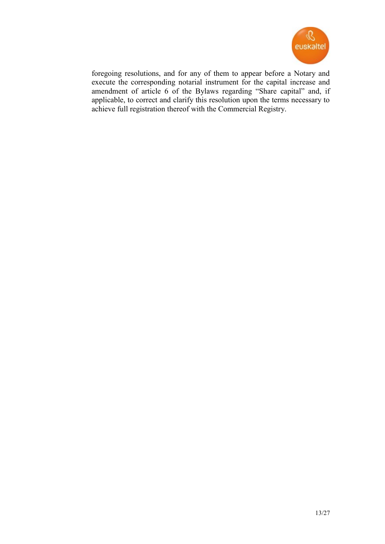

foregoing resolutions, and for any of them to appear before a Notary and execute the corresponding notarial instrument for the capital increase and amendment of article 6 of the Bylaws regarding "Share capital" and, if applicable, to correct and clarify this resolution upon the terms necessary to achieve full registration thereof with the Commercial Registry.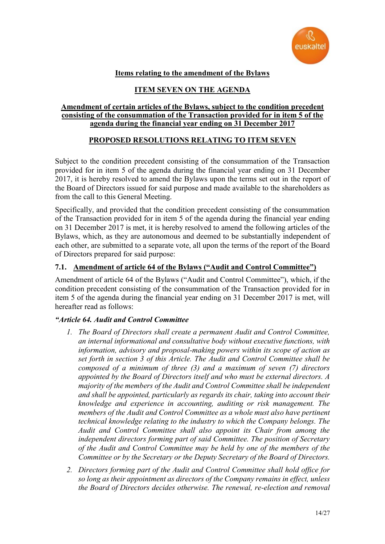

# **Items relating to the amendment of the Bylaws**

# **ITEM SEVEN ON THE AGENDA**

## **Amendment of certain articles of the Bylaws, subject to the condition precedent consisting of the consummation of the Transaction provided for in item 5 of the agenda during the financial year ending on 31 December 2017**

# **PROPOSED RESOLUTIONS RELATING TO ITEM SEVEN**

Subject to the condition precedent consisting of the consummation of the Transaction provided for in item 5 of the agenda during the financial year ending on 31 December 2017, it is hereby resolved to amend the Bylaws upon the terms set out in the report of the Board of Directors issued for said purpose and made available to the shareholders as from the call to this General Meeting.

Specifically, and provided that the condition precedent consisting of the consummation of the Transaction provided for in item 5 of the agenda during the financial year ending on 31 December 2017 is met, it is hereby resolved to amend the following articles of the Bylaws, which, as they are autonomous and deemed to be substantially independent of each other, are submitted to a separate vote, all upon the terms of the report of the Board of Directors prepared for said purpose:

## **7.1. Amendment of article 64 of the Bylaws ("Audit and Control Committee")**

Amendment of article 64 of the Bylaws ("Audit and Control Committee"), which, if the condition precedent consisting of the consummation of the Transaction provided for in item 5 of the agenda during the financial year ending on 31 December 2017 is met, will hereafter read as follows:

## *"Article 64. Audit and Control Committee*

- *1. The Board of Directors shall create a permanent Audit and Control Committee, an internal informational and consultative body without executive functions, with information, advisory and proposal-making powers within its scope of action as set forth in section 3 of this Article. The Audit and Control Committee shall be composed of a minimum of three (3) and a maximum of seven (7) directors appointed by the Board of Directors itself and who must be external directors. A majority of the members of the Audit and Control Committee shall be independent and shall be appointed, particularly as regards its chair, taking into account their knowledge and experience in accounting, auditing or risk management. The members of the Audit and Control Committee as a whole must also have pertinent technical knowledge relating to the industry to which the Company belongs. The Audit and Control Committee shall also appoint its Chair from among the independent directors forming part of said Committee. The position of Secretary of the Audit and Control Committee may be held by one of the members of the Committee or by the Secretary or the Deputy Secretary of the Board of Directors.*
- *2. Directors forming part of the Audit and Control Committee shall hold office for so long as their appointment as directors of the Company remains in effect, unless the Board of Directors decides otherwise. The renewal, re-election and removal*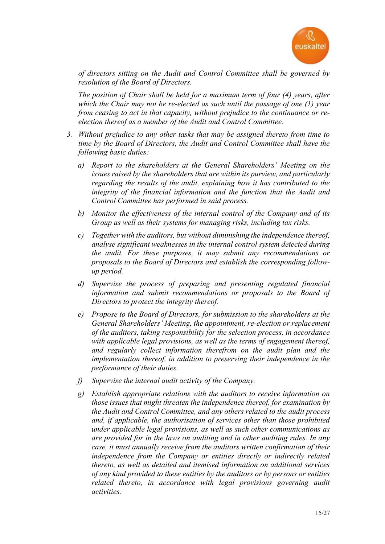

*of directors sitting on the Audit and Control Committee shall be governed by resolution of the Board of Directors.*

*The position of Chair shall be held for a maximum term of four (4) years, after which the Chair may not be re-elected as such until the passage of one (1) year from ceasing to act in that capacity, without prejudice to the continuance or reelection thereof as a member of the Audit and Control Committee.*

- *3. Without prejudice to any other tasks that may be assigned thereto from time to time by the Board of Directors, the Audit and Control Committee shall have the following basic duties:*
	- *a) Report to the shareholders at the General Shareholders' Meeting on the issues raised by the shareholders that are within its purview, and particularly regarding the results of the audit, explaining how it has contributed to the integrity of the financial information and the function that the Audit and Control Committee has performed in said process.*
	- *b) Monitor the effectiveness of the internal control of the Company and of its Group as well as their systems for managing risks, including tax risks.*
	- *c) Together with the auditors, but without diminishing the independence thereof, analyse significant weaknesses in the internal control system detected during the audit. For these purposes, it may submit any recommendations or proposals to the Board of Directors and establish the corresponding followup period.*
	- *d) Supervise the process of preparing and presenting regulated financial information and submit recommendations or proposals to the Board of Directors to protect the integrity thereof.*
	- *e) Propose to the Board of Directors, for submission to the shareholders at the General Shareholders' Meeting, the appointment, re-election or replacement of the auditors, taking responsibility for the selection process, in accordance with applicable legal provisions, as well as the terms of engagement thereof, and regularly collect information therefrom on the audit plan and the implementation thereof, in addition to preserving their independence in the performance of their duties.*
	- *f) Supervise the internal audit activity of the Company.*
	- *g) Establish appropriate relations with the auditors to receive information on those issues that might threaten the independence thereof, for examination by the Audit and Control Committee, and any others related to the audit process and, if applicable, the authorisation of services other than those prohibited under applicable legal provisions, as well as such other communications as are provided for in the laws on auditing and in other auditing rules. In any case, it must annually receive from the auditors written confirmation of their independence from the Company or entities directly or indirectly related thereto, as well as detailed and itemised information on additional services of any kind provided to these entities by the auditors or by persons or entities related thereto, in accordance with legal provisions governing audit activities.*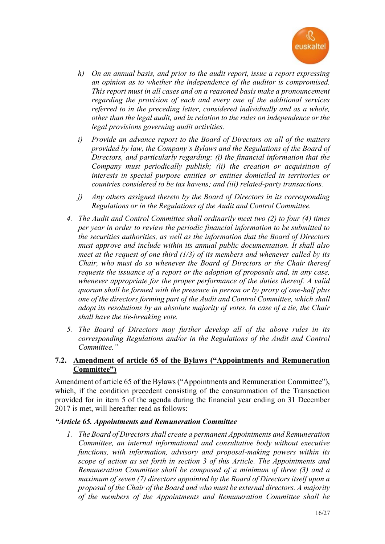

- *h) On an annual basis, and prior to the audit report, issue a report expressing an opinion as to whether the independence of the auditor is compromised. This report must in all cases and on a reasoned basis make a pronouncement regarding the provision of each and every one of the additional services referred to in the preceding letter, considered individually and as a whole, other than the legal audit, and in relation to the rules on independence or the legal provisions governing audit activities.*
- *i) Provide an advance report to the Board of Directors on all of the matters provided by law, the Company's Bylaws and the Regulations of the Board of Directors, and particularly regarding: (i) the financial information that the Company must periodically publish; (ii) the creation or acquisition of interests in special purpose entities or entities domiciled in territories or countries considered to be tax havens; and (iii) related-party transactions.*
- *j) Any others assigned thereto by the Board of Directors in its corresponding Regulations or in the Regulations of the Audit and Control Committee.*
- *4. The Audit and Control Committee shall ordinarily meet two (2) to four (4) times per year in order to review the periodic financial information to be submitted to the securities authorities, as well as the information that the Board of Directors must approve and include within its annual public documentation. It shall also meet at the request of one third (1/3) of its members and whenever called by its Chair, who must do so whenever the Board of Directors or the Chair thereof requests the issuance of a report or the adoption of proposals and, in any case, whenever appropriate for the proper performance of the duties thereof. A valid quorum shall be formed with the presence in person or by proxy of one-half plus one of the directors forming part of the Audit and Control Committee, which shall adopt its resolutions by an absolute majority of votes. In case of a tie, the Chair shall have the tie-breaking vote.*
- *5. The Board of Directors may further develop all of the above rules in its corresponding Regulations and/or in the Regulations of the Audit and Control Committee."*

## **7.2. Amendment of article 65 of the Bylaws ("Appointments and Remuneration Committee")**

Amendment of article 65 of the Bylaws ("Appointments and Remuneration Committee"), which, if the condition precedent consisting of the consummation of the Transaction provided for in item 5 of the agenda during the financial year ending on 31 December 2017 is met, will hereafter read as follows:

#### *"Article 65. Appointments and Remuneration Committee*

*1. The Board of Directors shall create a permanent Appointments and Remuneration Committee, an internal informational and consultative body without executive functions, with information, advisory and proposal-making powers within its scope of action as set forth in section 3 of this Article. The Appointments and Remuneration Committee shall be composed of a minimum of three (3) and a maximum of seven (7) directors appointed by the Board of Directors itself upon a proposal of the Chair of the Board and who must be external directors. A majority of the members of the Appointments and Remuneration Committee shall be*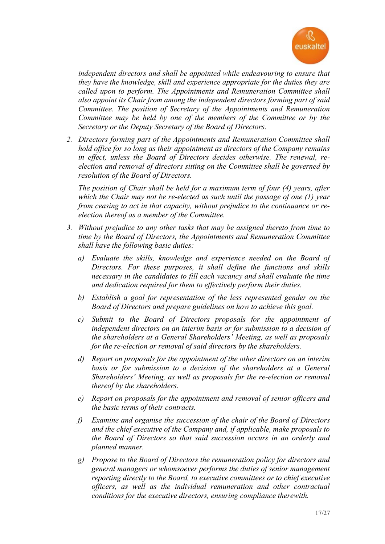

*independent directors and shall be appointed while endeavouring to ensure that they have the knowledge, skill and experience appropriate for the duties they are called upon to perform. The Appointments and Remuneration Committee shall also appoint its Chair from among the independent directors forming part of said Committee. The position of Secretary of the Appointments and Remuneration Committee may be held by one of the members of the Committee or by the Secretary or the Deputy Secretary of the Board of Directors.*

*2. Directors forming part of the Appointments and Remuneration Committee shall hold office for so long as their appointment as directors of the Company remains in effect, unless the Board of Directors decides otherwise. The renewal, reelection and removal of directors sitting on the Committee shall be governed by resolution of the Board of Directors.* 

*The position of Chair shall be held for a maximum term of four (4) years, after which the Chair may not be re-elected as such until the passage of one (1) year from ceasing to act in that capacity, without prejudice to the continuance or reelection thereof as a member of the Committee.*

- *3. Without prejudice to any other tasks that may be assigned thereto from time to time by the Board of Directors, the Appointments and Remuneration Committee shall have the following basic duties:*
	- *a) Evaluate the skills, knowledge and experience needed on the Board of Directors. For these purposes, it shall define the functions and skills necessary in the candidates to fill each vacancy and shall evaluate the time and dedication required for them to effectively perform their duties.*
	- *b) Establish a goal for representation of the less represented gender on the Board of Directors and prepare guidelines on how to achieve this goal.*
	- *c) Submit to the Board of Directors proposals for the appointment of independent directors on an interim basis or for submission to a decision of the shareholders at a General Shareholders' Meeting, as well as proposals for the re-election or removal of said directors by the shareholders.*
	- *d) Report on proposals for the appointment of the other directors on an interim basis or for submission to a decision of the shareholders at a General Shareholders' Meeting, as well as proposals for the re-election or removal thereof by the shareholders.*
	- *e) Report on proposals for the appointment and removal of senior officers and the basic terms of their contracts.*
	- *f) Examine and organise the succession of the chair of the Board of Directors and the chief executive of the Company and, if applicable, make proposals to the Board of Directors so that said succession occurs in an orderly and planned manner.*
	- *g) Propose to the Board of Directors the remuneration policy for directors and general managers or whomsoever performs the duties of senior management reporting directly to the Board, to executive committees or to chief executive officers, as well as the individual remuneration and other contractual conditions for the executive directors, ensuring compliance therewith.*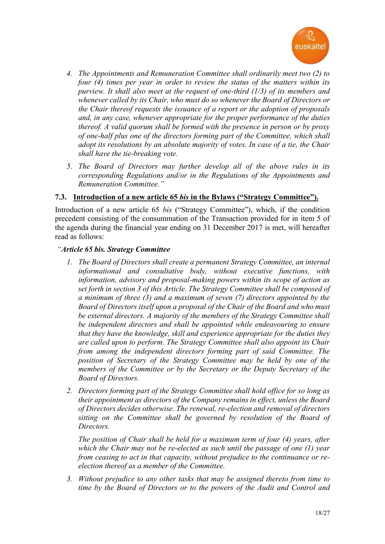

- *4. The Appointments and Remuneration Committee shall ordinarily meet two (2) to four (4) times per year in order to review the status of the matters within its purview. It shall also meet at the request of one-third (1/3) of its members and whenever called by its Chair, who must do so whenever the Board of Directors or the Chair thereof requests the issuance of a report or the adoption of proposals and, in any case, whenever appropriate for the proper performance of the duties thereof. A valid quorum shall be formed with the presence in person or by proxy of one-half plus one of the directors forming part of the Committee, which shall adopt its resolutions by an absolute majority of votes. In case of a tie, the Chair shall have the tie-breaking vote.*
- *5. The Board of Directors may further develop all of the above rules in its corresponding Regulations and/or in the Regulations of the Appointments and Remuneration Committee."*

## **7.3. Introduction of a new article 65** *bis* **in the Bylaws ("Strategy Committee").**

Introduction of a new article 65 *bis* ("Strategy Committee"), which, if the condition precedent consisting of the consummation of the Transaction provided for in item 5 of the agenda during the financial year ending on 31 December 2017 is met, will hereafter read as follows:

### *"Article 65 bis. Strategy Committee*

- *1. The Board of Directors shall create a permanent Strategy Committee, an internal informational and consultative body, without executive functions, with information, advisory and proposal-making powers within its scope of action as set forth in section 3 of this Article. The Strategy Committee shall be composed of a minimum of three (3) and a maximum of seven (7) directors appointed by the Board of Directors itself upon a proposal of the Chair of the Board and who must be external directors. A majority of the members of the Strategy Committee shall be independent directors and shall be appointed while endeavouring to ensure that they have the knowledge, skill and experience appropriate for the duties they are called upon to perform. The Strategy Committee shall also appoint its Chair from among the independent directors forming part of said Committee. The position of Secretary of the Strategy Committee may be held by one of the members of the Committee or by the Secretary or the Deputy Secretary of the Board of Directors.*
- *2. Directors forming part of the Strategy Committee shall hold office for so long as their appointment as directors of the Company remains in effect, unless the Board of Directors decides otherwise. The renewal, re-election and removal of directors sitting on the Committee shall be governed by resolution of the Board of Directors.*

*The position of Chair shall be held for a maximum term of four (4) years, after which the Chair may not be re-elected as such until the passage of one (1) year from ceasing to act in that capacity, without prejudice to the continuance or reelection thereof as a member of the Committee.*

*3. Without prejudice to any other tasks that may be assigned thereto from time to time by the Board of Directors or to the powers of the Audit and Control and*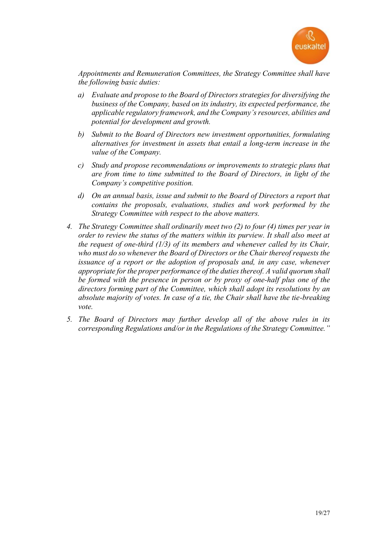

*Appointments and Remuneration Committees, the Strategy Committee shall have the following basic duties:*

- *a) Evaluate and propose to the Board of Directors strategies for diversifying the business of the Company, based on its industry, its expected performance, the applicable regulatory framework, and the Company's resources, abilities and potential for development and growth.*
- *b) Submit to the Board of Directors new investment opportunities, formulating alternatives for investment in assets that entail a long-term increase in the value of the Company.*
- *c) Study and propose recommendations or improvements to strategic plans that are from time to time submitted to the Board of Directors, in light of the Company's competitive position.*
- *d) On an annual basis, issue and submit to the Board of Directors a report that contains the proposals, evaluations, studies and work performed by the Strategy Committee with respect to the above matters.*
- *4. The Strategy Committee shall ordinarily meet two (2) to four (4) times per year in order to review the status of the matters within its purview. It shall also meet at the request of one-third (1/3) of its members and whenever called by its Chair, who must do so whenever the Board of Directors or the Chair thereof requests the issuance of a report or the adoption of proposals and, in any case, whenever appropriate for the proper performance of the duties thereof. A valid quorum shall be formed with the presence in person or by proxy of one-half plus one of the directors forming part of the Committee, which shall adopt its resolutions by an absolute majority of votes. In case of a tie, the Chair shall have the tie-breaking vote.*
- *5. The Board of Directors may further develop all of the above rules in its corresponding Regulations and/or in the Regulations of the Strategy Committee."*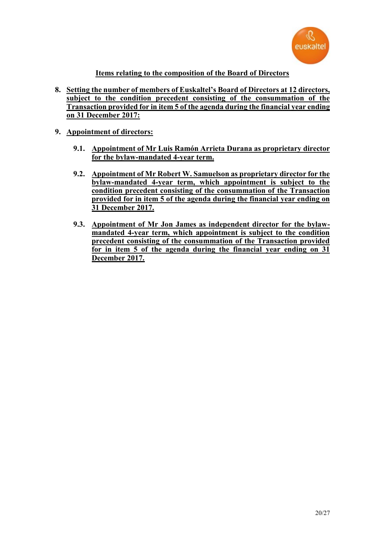

## **Items relating to the composition of the Board of Directors**

- **8. Setting the number of members of Euskaltel's Board of Directors at 12 directors, subject to the condition precedent consisting of the consummation of the Transaction provided for in item 5 of the agenda during the financial year ending on 31 December 2017:**
- **9. Appointment of directors:**
	- **9.1. Appointment of Mr Luis Ramón Arrieta Durana as proprietary director for the bylaw-mandated 4-year term.**
	- **9.2. Appointment of Mr Robert W. Samuelson as proprietary director for the bylaw-mandated 4-year term, which appointment is subject to the condition precedent consisting of the consummation of the Transaction provided for in item 5 of the agenda during the financial year ending on 31 December 2017.**
	- **9.3. Appointment of Mr Jon James as independent director for the bylawmandated 4-year term, which appointment is subject to the condition precedent consisting of the consummation of the Transaction provided for in item 5 of the agenda during the financial year ending on 31 December 2017.**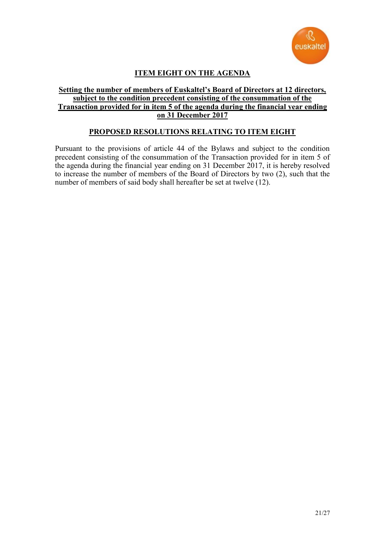

# **ITEM EIGHT ON THE AGENDA**

#### **Setting the number of members of Euskaltel's Board of Directors at 12 directors, subject to the condition precedent consisting of the consummation of the Transaction provided for in item 5 of the agenda during the financial year ending on 31 December 2017**

## **PROPOSED RESOLUTIONS RELATING TO ITEM EIGHT**

Pursuant to the provisions of article 44 of the Bylaws and subject to the condition precedent consisting of the consummation of the Transaction provided for in item 5 of the agenda during the financial year ending on 31 December 2017, it is hereby resolved to increase the number of members of the Board of Directors by two (2), such that the number of members of said body shall hereafter be set at twelve (12).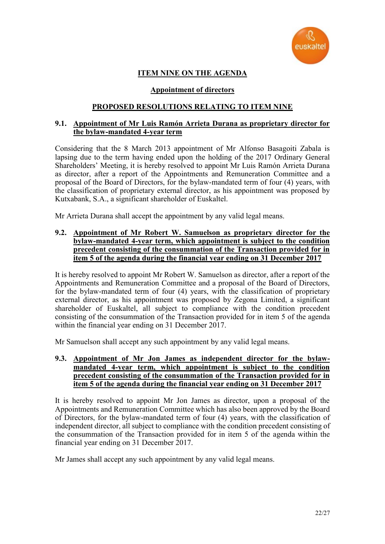

# **ITEM NINE ON THE AGENDA**

### **Appointment of directors**

## **PROPOSED RESOLUTIONS RELATING TO ITEM NINE**

#### **9.1. Appointment of Mr Luis Ramón Arrieta Durana as proprietary director for the bylaw-mandated 4-year term**

Considering that the 8 March 2013 appointment of Mr Alfonso Basagoiti Zabala is lapsing due to the term having ended upon the holding of the 2017 Ordinary General Shareholders' Meeting, it is hereby resolved to appoint Mr Luis Ramón Arrieta Durana as director, after a report of the Appointments and Remuneration Committee and a proposal of the Board of Directors, for the bylaw-mandated term of four (4) years, with the classification of proprietary external director, as his appointment was proposed by Kutxabank, S.A., a significant shareholder of Euskaltel.

Mr Arrieta Durana shall accept the appointment by any valid legal means.

#### **9.2. Appointment of Mr Robert W. Samuelson as proprietary director for the bylaw-mandated 4-year term, which appointment is subject to the condition precedent consisting of the consummation of the Transaction provided for in item 5 of the agenda during the financial year ending on 31 December 2017**

It is hereby resolved to appoint Mr Robert W. Samuelson as director, after a report of the Appointments and Remuneration Committee and a proposal of the Board of Directors, for the bylaw-mandated term of four (4) years, with the classification of proprietary external director, as his appointment was proposed by Zegona Limited, a significant shareholder of Euskaltel, all subject to compliance with the condition precedent consisting of the consummation of the Transaction provided for in item 5 of the agenda within the financial year ending on 31 December 2017.

Mr Samuelson shall accept any such appointment by any valid legal means.

#### **9.3. Appointment of Mr Jon James as independent director for the bylawmandated 4-year term, which appointment is subject to the condition precedent consisting of the consummation of the Transaction provided for in item 5 of the agenda during the financial year ending on 31 December 2017**

It is hereby resolved to appoint Mr Jon James as director, upon a proposal of the Appointments and Remuneration Committee which has also been approved by the Board of Directors, for the bylaw-mandated term of four (4) years, with the classification of independent director, all subject to compliance with the condition precedent consisting of the consummation of the Transaction provided for in item 5 of the agenda within the financial year ending on 31 December 2017.

Mr James shall accept any such appointment by any valid legal means.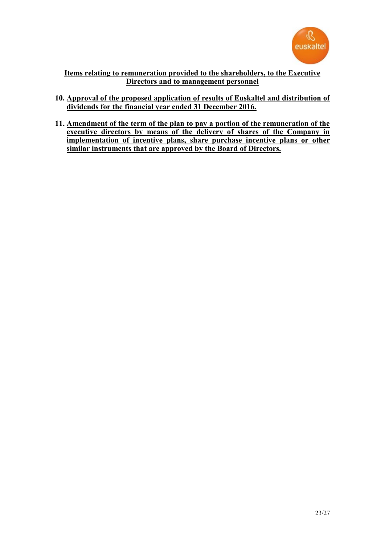

## **Items relating to remuneration provided to the shareholders, to the Executive Directors and to management personnel**

- **10. Approval of the proposed application of results of Euskaltel and distribution of dividends for the financial year ended 31 December 2016.**
- **11. Amendment of the term of the plan to pay a portion of the remuneration of the executive directors by means of the delivery of shares of the Company in implementation of incentive plans, share purchase incentive plans or other similar instruments that are approved by the Board of Directors.**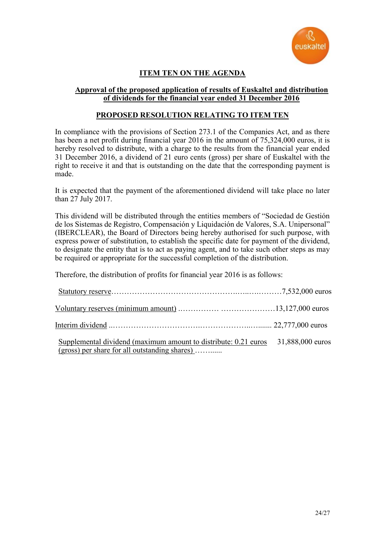

# **ITEM TEN ON THE AGENDA**

#### **Approval of the proposed application of results of Euskaltel and distribution of dividends for the financial year ended 31 December 2016**

### **PROPOSED RESOLUTION RELATING TO ITEM TEN**

In compliance with the provisions of Section 273.1 of the Companies Act, and as there has been a net profit during financial year 2016 in the amount of 75,324,000 euros, it is hereby resolved to distribute, with a charge to the results from the financial year ended 31 December 2016, a dividend of 21 euro cents (gross) per share of Euskaltel with the right to receive it and that is outstanding on the date that the corresponding payment is made.

It is expected that the payment of the aforementioned dividend will take place no later than 27 July 2017.

This dividend will be distributed through the entities members of "Sociedad de Gestión de los Sistemas de Registro, Compensación y Liquidación de Valores, S.A. Unipersonal" (IBERCLEAR), the Board of Directors being hereby authorised for such purpose, with express power of substitution, to establish the specific date for payment of the dividend, to designate the entity that is to act as paying agent, and to take such other steps as may be required or appropriate for the successful completion of the distribution.

Therefore, the distribution of profits for financial year 2016 is as follows:

| Supplemental dividend (maximum amount to distribute: 0.21 euros 31,888,000 euros<br>(gross) per share for all outstanding shares) |  |
|-----------------------------------------------------------------------------------------------------------------------------------|--|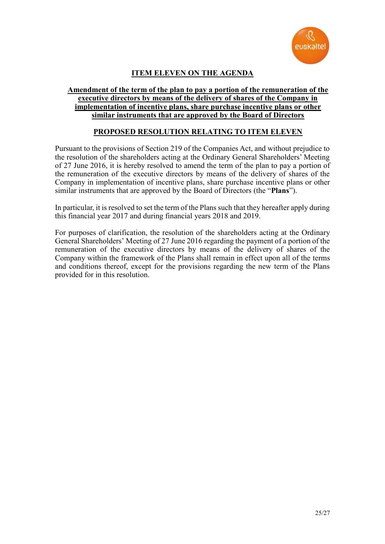

# **ITEM ELEVEN ON THE AGENDA**

#### **Amendment of the term of the plan to pay a portion of the remuneration of the executive directors by means of the delivery of shares of the Company in implementation of incentive plans, share purchase incentive plans or other similar instruments that are approved by the Board of Directors**

## **PROPOSED RESOLUTION RELATING TO ITEM ELEVEN**

Pursuant to the provisions of Section 219 of the Companies Act, and without prejudice to the resolution of the shareholders acting at the Ordinary General Shareholders' Meeting of 27 June 2016, it is hereby resolved to amend the term of the plan to pay a portion of the remuneration of the executive directors by means of the delivery of shares of the Company in implementation of incentive plans, share purchase incentive plans or other similar instruments that are approved by the Board of Directors (the "**Plans**").

In particular, it is resolved to set the term of the Plans such that they hereafter apply during this financial year 2017 and during financial years 2018 and 2019.

For purposes of clarification, the resolution of the shareholders acting at the Ordinary General Shareholders' Meeting of 27 June 2016 regarding the payment of a portion of the remuneration of the executive directors by means of the delivery of shares of the Company within the framework of the Plans shall remain in effect upon all of the terms and conditions thereof, except for the provisions regarding the new term of the Plans provided for in this resolution.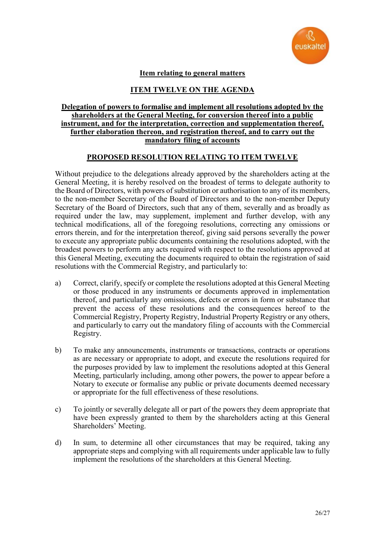

## **Item relating to general matters**

## **ITEM TWELVE ON THE AGENDA**

#### **Delegation of powers to formalise and implement all resolutions adopted by the shareholders at the General Meeting, for conversion thereof into a public instrument, and for the interpretation, correction and supplementation thereof, further elaboration thereon, and registration thereof, and to carry out the mandatory filing of accounts**

## **PROPOSED RESOLUTION RELATING TO ITEM TWELVE**

Without prejudice to the delegations already approved by the shareholders acting at the General Meeting, it is hereby resolved on the broadest of terms to delegate authority to the Board of Directors, with powers of substitution or authorisation to any of its members, to the non-member Secretary of the Board of Directors and to the non-member Deputy Secretary of the Board of Directors, such that any of them, severally and as broadly as required under the law, may supplement, implement and further develop, with any technical modifications, all of the foregoing resolutions, correcting any omissions or errors therein, and for the interpretation thereof, giving said persons severally the power to execute any appropriate public documents containing the resolutions adopted, with the broadest powers to perform any acts required with respect to the resolutions approved at this General Meeting, executing the documents required to obtain the registration of said resolutions with the Commercial Registry, and particularly to:

- a) Correct, clarify, specify or complete the resolutions adopted at this General Meeting or those produced in any instruments or documents approved in implementation thereof, and particularly any omissions, defects or errors in form or substance that prevent the access of these resolutions and the consequences hereof to the Commercial Registry, Property Registry, Industrial Property Registry or any others, and particularly to carry out the mandatory filing of accounts with the Commercial Registry.
- b) To make any announcements, instruments or transactions, contracts or operations as are necessary or appropriate to adopt, and execute the resolutions required for the purposes provided by law to implement the resolutions adopted at this General Meeting, particularly including, among other powers, the power to appear before a Notary to execute or formalise any public or private documents deemed necessary or appropriate for the full effectiveness of these resolutions.
- c) To jointly or severally delegate all or part of the powers they deem appropriate that have been expressly granted to them by the shareholders acting at this General Shareholders' Meeting.
- d) In sum, to determine all other circumstances that may be required, taking any appropriate steps and complying with all requirements under applicable law to fully implement the resolutions of the shareholders at this General Meeting.